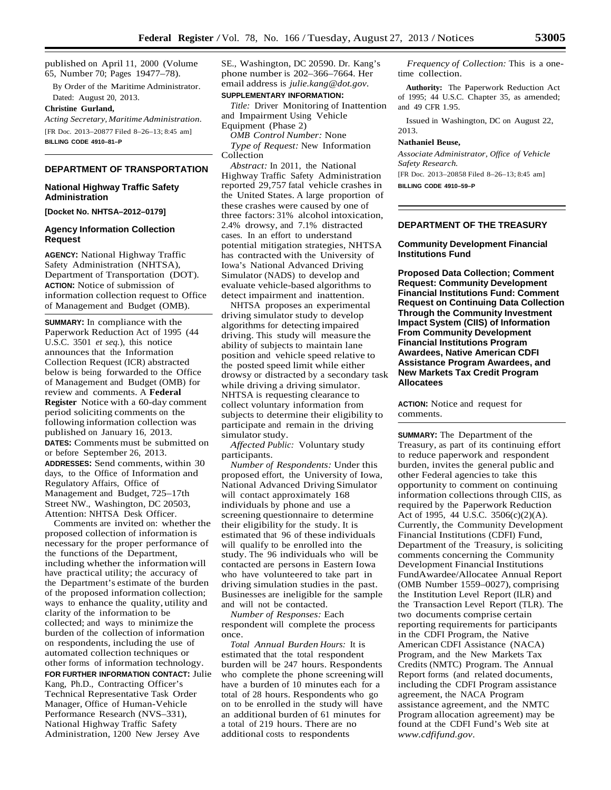published on April 11, 2000 (Volume 65, Number 70; Pages 19477–78).

By Order of the Maritime Administrator. Dated: August 20, 2013.

#### **Christine Gurland,**

*Acting Secretary, Maritime Administration.*  [FR Doc. 2013–20877 Filed 8–26–13; 8:45 am] **BILLING CODE 4910–81–P**

## **DEPARTMENT OF TRANSPORTATION**

## **National Highway Traffic Safety Administration**

## **Agency Information Collection Request**

**AGENCY:** National Highway Traffic Safety Administration (NHTSA), Department of Transportation (DOT). **ACTION:** Notice of submission of information collection request to Office of Management and Budget (OMB).

**SUMMARY:** In compliance with the Paperwork Reduction Act of 1995 (44 U.S.C. 3501 *et seq.*), this notice announces that the Information Collection Request (ICR) abstracted below is being forwarded to the Office of Management and Budget (OMB) for review and comments. A **Federal Register** Notice with a 60-day comment period soliciting comments on the following information collection was published on January 16, 2013. **DATES:** Comments must be submitted on or before September 26, 2013. **ADDRESSES:** Send comments, within 30 days, to the Office of Information and Regulatory Affairs, Office of Management and Budget, 725–17th Street NW., Washington, DC 20503, Attention: NHTSA Desk Officer.

Comments are invited on: whether the proposed collection of information is necessary for the proper performance of the functions of the Department, including whether the information will have practical utility; the accuracy of the Department's estimate of the burden of the proposed information collection; ways to enhance the quality, utility and clarity of the information to be collected; and ways to minimize the burden of the collection of information on respondents, including the use of automated collection techniques or other forms of information technology. **FOR FURTHER INFORMATION CONTACT:** Julie Kang, Ph.D., Contracting Officer's Technical Representative Task Order Manager, Office of Human-Vehicle Performance Research (NVS–331), National Highway Traffic Safety Administration, 1200 New Jersey Ave

SE., Washington, DC 20590. Dr. Kang's phone number is 202–366–7664. Her email address is *[julie.kang@dot.gov](mailto:julie.kang@dot.gov)*.

## **SUPPLEMENTARY INFORMATION:**

*Title:* Driver Monitoring of Inattention and Impairment Using Vehicle Equipment (Phase 2)

*OMB Control Number:* None *Type of Request:* New Information Collection

*Abstract:* In 2011, the National Highway Traffic Safety Administration reported 29,757 fatal vehicle crashes in the United States. A large proportion of **[Docket No. NHTSA–2012–0179]** these crashes were caused by one of three factors: 31% alcohol intoxication three factors: 31% alcohol intoxication, 2.4% drowsy, and 7.1% distracted cases. In an effort to understand potential mitigation strategies, NHTSA has contracted with the University of Iowa's National Advanced Driving Simulator (NADS) to develop and evaluate vehicle-based algorithms to detect impairment and inattention.

> NHTSA proposes an experimental driving simulator study to develop algorithms for detecting impaired driving. This study will measure the ability of subjects to maintain lane position and vehicle speed relative to the posted speed limit while either drowsy or distracted by a secondary task while driving a driving simulator. NHTSA is requesting clearance to collect voluntary information from subjects to determine their eligibility to participate and remain in the driving simulator study.

*Affected Public:* Voluntary study participants.

*Number of Respondents:* Under this proposed effort, the University of Iowa, National Advanced Driving Simulator will contact approximately 168 individuals by phone and use a screening questionnaire to determine their eligibility for the study. It is estimated that 96 of these individuals will qualify to be enrolled into the study. The 96 individuals who will be contacted are persons in Eastern Iowa who have volunteered to take part in driving simulation studies in the past. Businesses are ineligible for the sample and will not be contacted.

*Number of Responses:* Each respondent will complete the process once.

*Total Annual Burden Hours:* It is estimated that the total respondent burden will be 247 hours. Respondents who complete the phone screeningwill have a burden of 10 minutes each for a total of 28 hours. Respondents who go on to be enrolled in the study will have an additional burden of 61 minutes for a total of 219 hours. There are no additional costs to respondents

*Frequency of Collection:* This is a onetime collection.

**Authority:** The Paperwork Reduction Act of 1995; 44 U.S.C. Chapter 35, as amended; and 49 CFR 1.95.

Issued in Washington, DC on August 22,

# **Nathaniel Beuse,**

2013.

*Associate Administrator, Office of Vehicle Safety Research.* [FR Doc. 2013–20858 Filed 8–26–13; 8:45 am] **BILLING CODE 4910–59–P**

**DEPARTMENT OF THE TREASURY**

## **Community Development Financial Institutions Fund**

**Proposed Data Collection; Comment Request: Community Development Financial Institutions Fund: Comment Request on Continuing Data Collection Through the Community Investment Impact System (CIIS) of Information From Community Development Financial Institutions Program Awardees, Native American CDFI Assistance Program Awardees, and New Markets Tax Credit Program Allocatees**

**ACTION:** Notice and request for comments.

**SUMMARY:** The Department of the Treasury, as part of its continuing effort to reduce paperwork and respondent burden, invites the general public and other Federal agencies to take this opportunity to comment on continuing information collections through CIIS, as required by the Paperwork Reduction Act of 1995, 44 U.S.C. 3506(c)(2)(A). Currently, the Community Development Financial Institutions (CDFI) Fund, Department of the Treasury, is soliciting comments concerning the Community Development Financial Institutions FundAwardee/Allocatee Annual Report (OMB Number 1559–0027), comprising the Institution Level Report (ILR) and the Transaction Level Report (TLR). The two documents comprise certain reporting requirements for participants in the CDFI Program, the Native American CDFI Assistance (NACA) Program, and the New Markets Tax Credits (NMTC) Program. The Annual Report forms (and related documents, including the CDFI Program assistance agreement, the NACA Program assistance agreement, and the NMTC Program allocation agreement) may be found at the CDFI Fund's Web site at *[www.cdfifund.gov](http://www.cdfifund.gov/)*.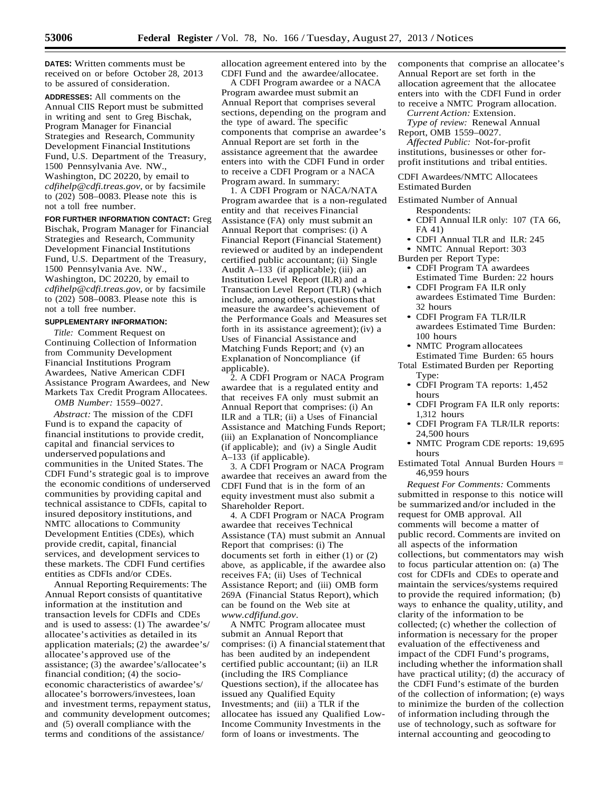**DATES:** Written comments must be received on or before October 28, 2013 to be assured of consideration.

**ADDRESSES:** All comments on the Annual CIIS Report must be submitted in writing and sent to Greg Bischak, Program Manager for Financial Strategies and Research, Community Development Financial Institutions Fund, U.S. Department of the Treasury, 1500 Pennsylvania Ave. NW., Washington, DC 20220, by email to *[cdfihelp@cdfi.treas.gov,](mailto:cdfihelp@cdfi.treas.gov)* or by facsimile to (202) 508–0083. Please note this is not a toll free number.

**FOR FURTHER INFORMATION CONTACT:** Greg Bischak, Program Manager for Financial Strategies and Research, Community Development Financial Institutions Fund, U.S. Department of the Treasury, 1500 Pennsylvania Ave. NW., Washington, DC 20220, by email to *[cdfihelp@cdfi.treas.gov,](mailto:cdfihelp@cdfi.treas.gov)* or by facsimile to (202) 508–0083. Please note this is not a toll free number.

## **SUPPLEMENTARY INFORMATION:**

*Title:* Comment Request on Continuing Collection of Information from Community Development Financial Institutions Program Awardees, Native American CDFI Assistance Program Awardees, and New Markets Tax Credit Program Allocatees. *OMB Number:* 1559–0027.

*Abstract:* The mission of the CDFI Fund is to expand the capacity of financial institutions to provide credit, capital and financial services to underserved populations and communities in the United States. The CDFI Fund's strategic goal is to improve the economic conditions of underserved communities by providing capital and technical assistance to CDFIs, capital to insured depository institutions, and NMTC allocations to Community Development Entities (CDEs), which provide credit, capital, financial services, and development services to these markets. The CDFI Fund certifies entities as CDFIs and/or CDEs.

Annual Reporting Requirements: The Annual Report consists of quantitative information at the institution and transaction levels for CDFIs and CDEs and is used to assess: (1) The awardee's/ allocatee's activities as detailed in its application materials; (2) the awardee's/ allocatee's approved use of the assistance; (3) the awardee's/allocatee's financial condition; (4) the socioeconomic characteristics of awardee's/ allocatee's borrowers/investees, loan and investment terms, repayment status, and community development outcomes; and (5) overall compliance with the terms and conditions of the assistance/

allocation agreement entered into by the CDFI Fund and the awardee/allocatee.

A CDFI Program awardee or a NACA Program awardee must submit an Annual Report that comprises several sections, depending on the program and the type of award. The specific components that comprise an awardee's Annual Report are set forth in the assistance agreement that the awardee enters into with the CDFI Fund in order to receive a CDFI Program or a NACA Program award. In summary:

1. A CDFI Program or NACA/NATA Program awardee that is a non-regulated entity and that receives Financial Assistance (FA) only must submit an Annual Report that comprises: (i) A Financial Report (Financial Statement) reviewed or audited by an independent certified public accountant; (ii) Single Audit A–133 (if applicable); (iii) an Institution Level Report (ILR) and a Transaction Level Report (TLR) (which include, among others, questions that measure the awardee's achievement of the Performance Goals and Measures set forth in its assistance agreement);(iv) a Uses of Financial Assistance and Matching Funds Report; and (v) an Explanation of Noncompliance (if applicable).

2. A CDFI Program or NACA Program awardee that is a regulated entity and that receives FA only must submit an Annual Report that comprises: (i) An ILR and a TLR; (ii) a Uses of Financial Assistance and Matching Funds Report; (iii) an Explanation of Noncompliance (if applicable); and (iv) a Single Audit A–133 (if applicable).

3. A CDFI Program or NACA Program awardee that receives an award from the CDFI Fund that is in the form of an equity investment must also submit a Shareholder Report.

4. A CDFI Program or NACA Program awardee that receives Technical Assistance (TA) must submit an Annual Report that comprises: (i) The documents set forth in either (1) or (2) above, as applicable, if the awardee also receives FA; (ii) Uses of Technical Assistance Report; and (iii) OMB form 269A (Financial Status Report), which can be found on the Web site at *[www.cdfifund.gov](http://www.cdfifund.gov/)*.

A NMTC Program allocatee must submit an Annual Report that comprises: (i) A financial statement that has been audited by an independent certified public accountant; (ii) an ILR (including the IRS Compliance Questions section), if the allocatee has issued any Qualified Equity Investments; and (iii) a TLR if the allocatee has issued any Qualified Low-Income Community Investments in the form of loans or investments. The

components that comprise an allocatee's Annual Report are set forth in the allocation agreement that the allocatee enters into with the CDFI Fund in order to receive a NMTC Program allocation.

*Current Action:* Extension.

*Type of review:* Renewal Annual Report, OMB 1559–0027.

*Affected Public:* Not-for-profit institutions, businesses or other forprofit institutions and tribal entities.

CDFI Awardees/NMTC Allocatees Estimated Burden

Estimated Number of Annual Respondents:

- CDFI Annual ILR only: 107 (TA 66, FA 41)
- CDFI Annual TLR and ILR: 245
- NMTC Annual Report: 303
- Burden per Report Type: • CDFI Program TA awardees
	- Estimated Time Burden: 22 hours • CDFI Program FA ILR only
	- awardees Estimated Time Burden: 32 hours
	- CDFI Program FA TLR/ILR awardees Estimated Time Burden: 100 hours
	- NMTC Program allocatees Estimated Time Burden: 65 hours
- Total Estimated Burden per Reporting Type:
	- CDFI Program TA reports: 1,452 hours
	- CDFI Program FA ILR only reports: 1,312 hours
	- CDFI Program FA TLR/ILR reports: 24,500 hours
	- NMTC Program CDE reports: 19,695 hours
- Estimated Total Annual Burden Hours = 46,959 hours

*Request For Comments:* Comments submitted in response to this notice will be summarized and/or included in the request for OMB approval. All comments will become a matter of public record. Comments are invited on all aspects of the information collections, but commentators may wish to focus particular attention on: (a) The cost for CDFIs and CDEs to operate and maintain the services/systems required to provide the required information; (b) ways to enhance the quality, utility, and clarity of the information to be collected; (c) whether the collection of information is necessary for the proper evaluation of the effectiveness and impact of the CDFI Fund's programs, including whether the information shall have practical utility; (d) the accuracy of the CDFI Fund's estimate of the burden of the collection of information; (e) ways to minimize the burden of the collection of information including through the use of technology, such as software for internal accounting and geocoding to